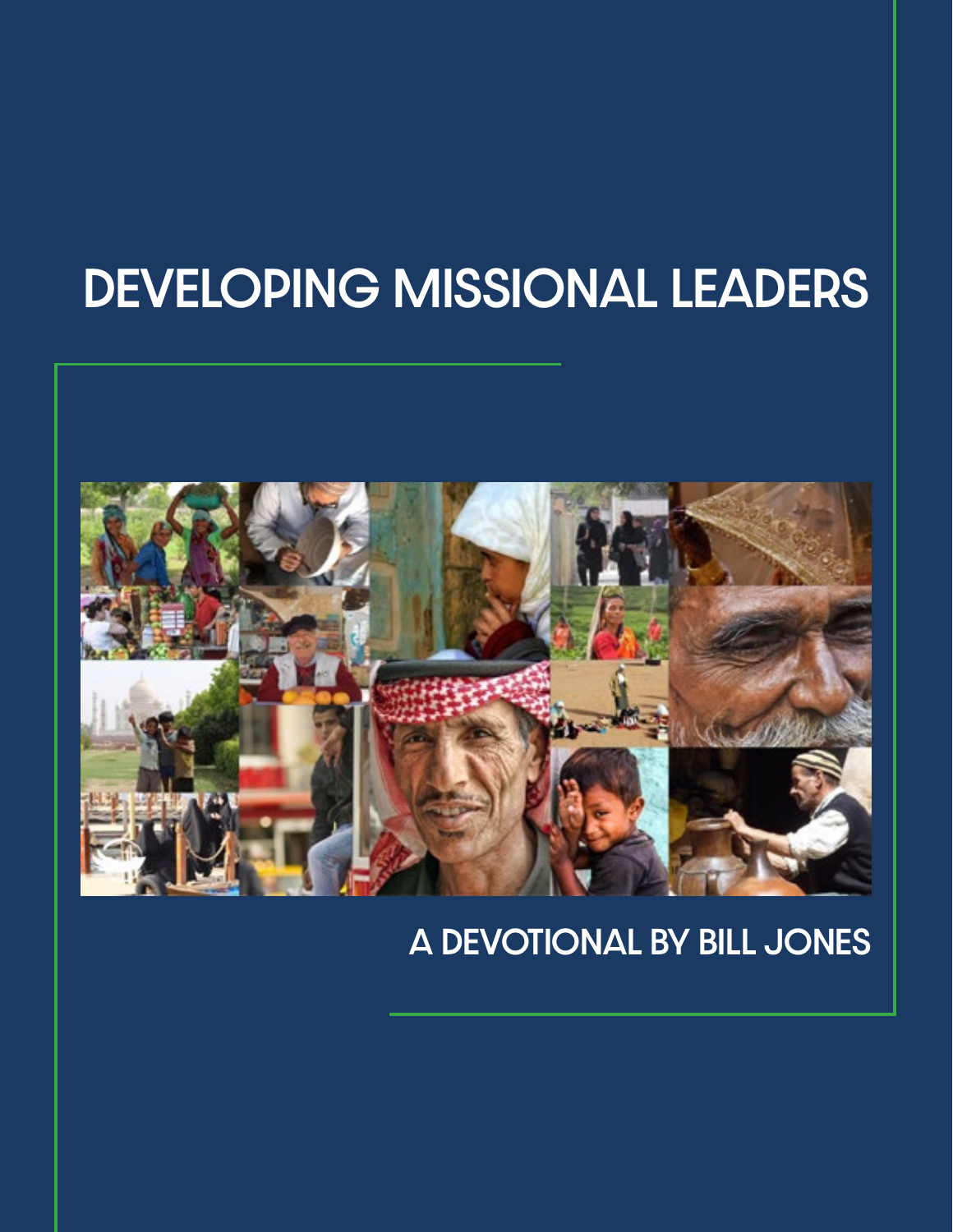# DEVELOPING MISSIONAL LEADERS



#### A DEVOTIONAL BY BILL JONES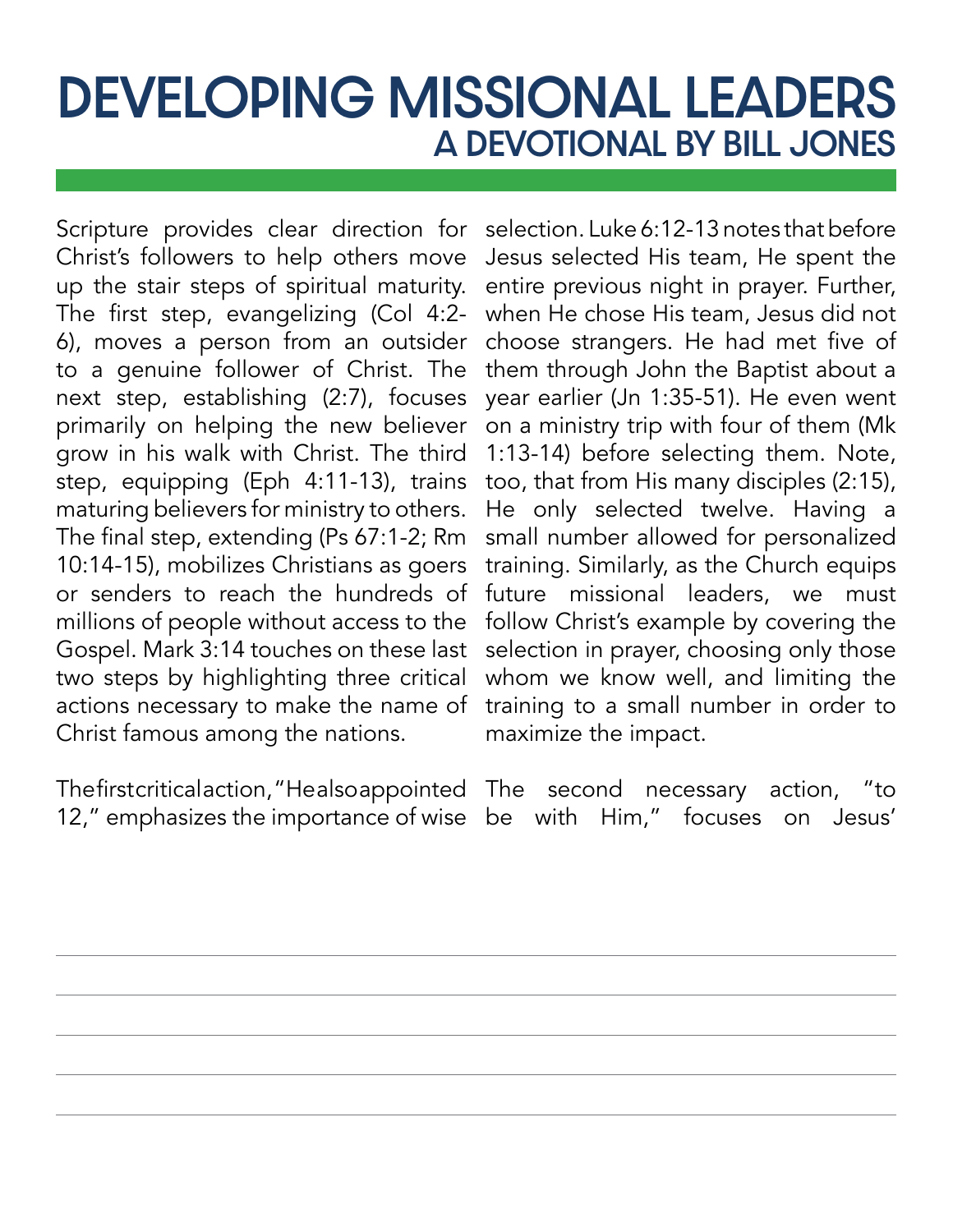## DEVELOPING MISSIONAL LEADERS A DEVOTIONAL BY BILL JONES

Scripture provides clear direction for Christ's followers to help others move up the stair steps of spiritual maturity. The first step, evangelizing (Col 4:2- 6), moves a person from an outsider to a genuine follower of Christ. The next step, establishing (2:7), focuses primarily on helping the new believer grow in his walk with Christ. The third step, equipping (Eph 4:11-13), trains maturing believers for ministry to others. The final step, extending (Ps 67:1-2; Rm 10:14-15), mobilizes Christians as goers or senders to reach the hundreds of millions of people without access to the Gospel. Mark 3:14 touches on these last two steps by highlighting three critical actions necessary to make the name of Christ famous among the nations.

selection. Luke 6:12-13 notes that before Jesus selected His team, He spent the entire previous night in prayer. Further, when He chose His team, Jesus did not choose strangers. He had met five of them through John the Baptist about a year earlier (Jn 1:35-51). He even went on a ministry trip with four of them (Mk 1:13-14) before selecting them. Note, too, that from His many disciples (2:15), He only selected twelve. Having a small number allowed for personalized training. Similarly, as the Church equips future missional leaders, we must follow Christ's example by covering the selection in prayer, choosing only those whom we know well, and limiting the training to a small number in order to maximize the impact.

The first critical action, "He also appointed The second necessary action, "to 12," emphasizes the importance of wise be with Him," focuses on Jesus'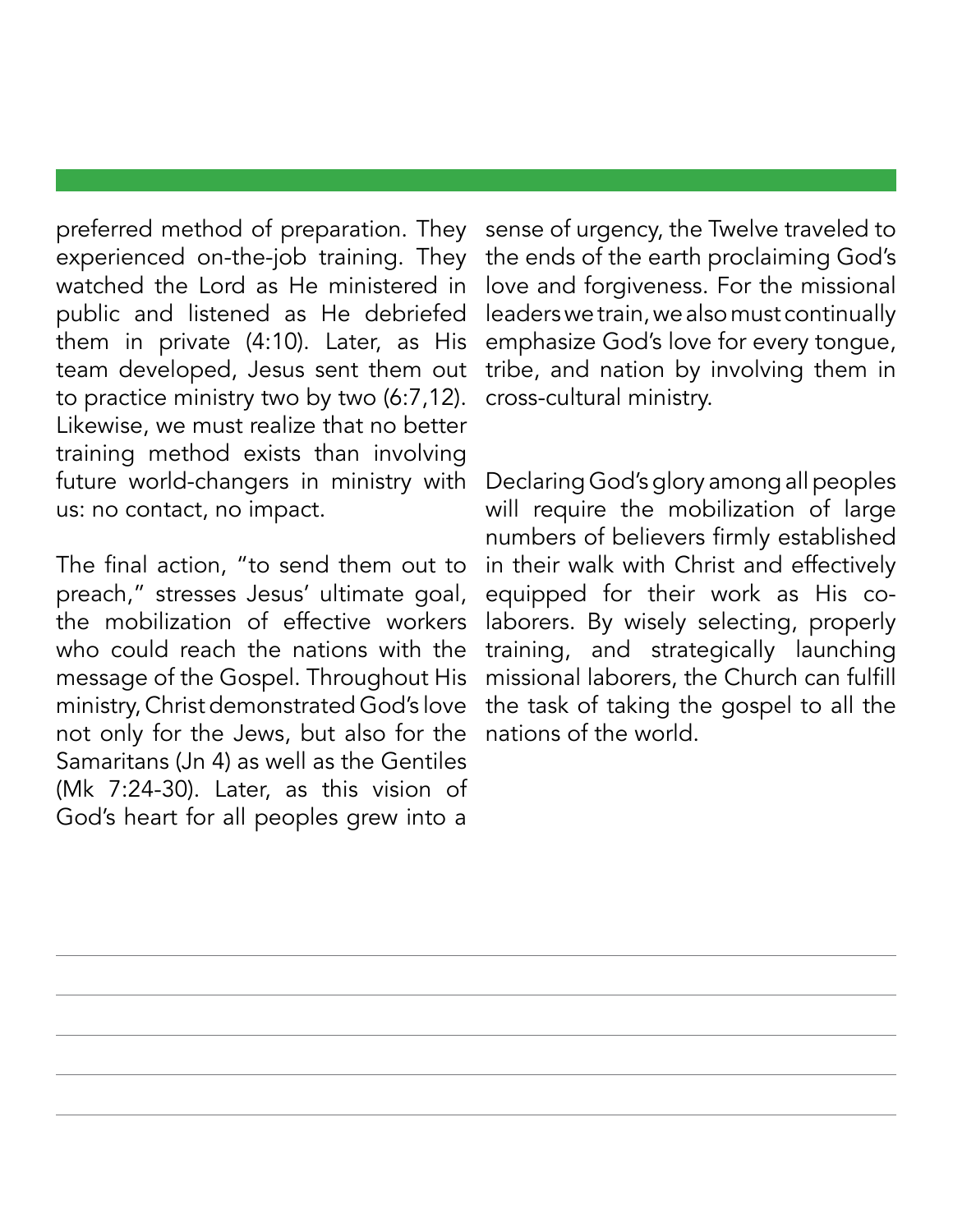preferred method of preparation. They experienced on-the-job training. They watched the Lord as He ministered in public and listened as He debriefed them in private (4:10). Later, as His team developed, Jesus sent them out to practice ministry two by two (6:7,12). Likewise, we must realize that no better training method exists than involving future world-changers in ministry with us: no contact, no impact.

The final action, "to send them out to preach," stresses Jesus' ultimate goal, the mobilization of effective workers who could reach the nations with the message of the Gospel. Throughout His ministry, Christ demonstrated God's love not only for the Jews, but also for the Samaritans (Jn 4) as well as the Gentiles (Mk 7:24-30). Later, as this vision of God's heart for all peoples grew into a

sense of urgency, the Twelve traveled to the ends of the earth proclaiming God's love and forgiveness. For the missional leaders we train, we also must continually emphasize God's love for every tongue, tribe, and nation by involving them in cross-cultural ministry.

Declaring God's glory among all peoples will require the mobilization of large numbers of believers firmly established in their walk with Christ and effectively equipped for their work as His colaborers. By wisely selecting, properly training, and strategically launching missional laborers, the Church can fulfill the task of taking the gospel to all the nations of the world.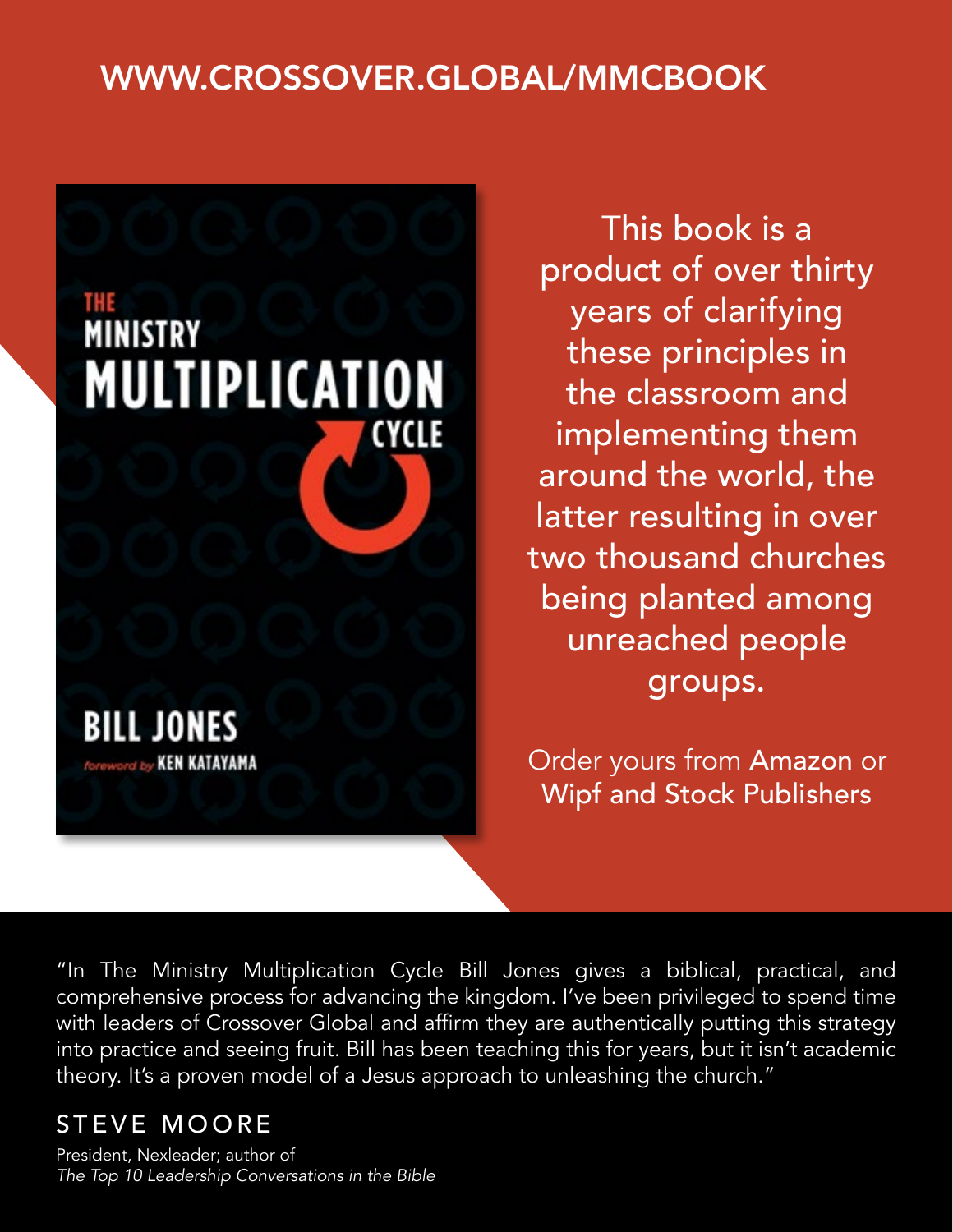#### [WWW.CROSSOVER.GLOBAL/MMCBOOK](http://www.crossover.global/mmcbook)



This book is a product of over thirty years of clarifying these principles in the classroom and implementing them around the world, the latter resulting in over two thousand churches being planted among unreached people groups.

Order yours from [Amazon](https://www.amazon.com/Ministry-Multiplication-Cycle-Bill-Jones/dp/1725264242/ref=tmm_pap_swatch_0?_encoding=UTF8&qid=1589992233&sr=8-1) or [Wipf and Stock Publishers](https://wipfandstock.com/the-ministry-multiplication-cycle.html)

"In The Ministry Multiplication Cycle Bill Jones gives a biblical, practical, and comprehensive process for advancing the kingdom. I've been privileged to spend time with leaders of Crossover Global and affirm they are authentically putting this strategy into practice and seeing fruit. Bill has been teaching this for years, but it isn't academic theory. It's a proven model of a Jesus approach to unleashing the church."

#### STEVE MOORE

President, Nexleader; author of *The Top 10 Leadership Conversations in the Bible*